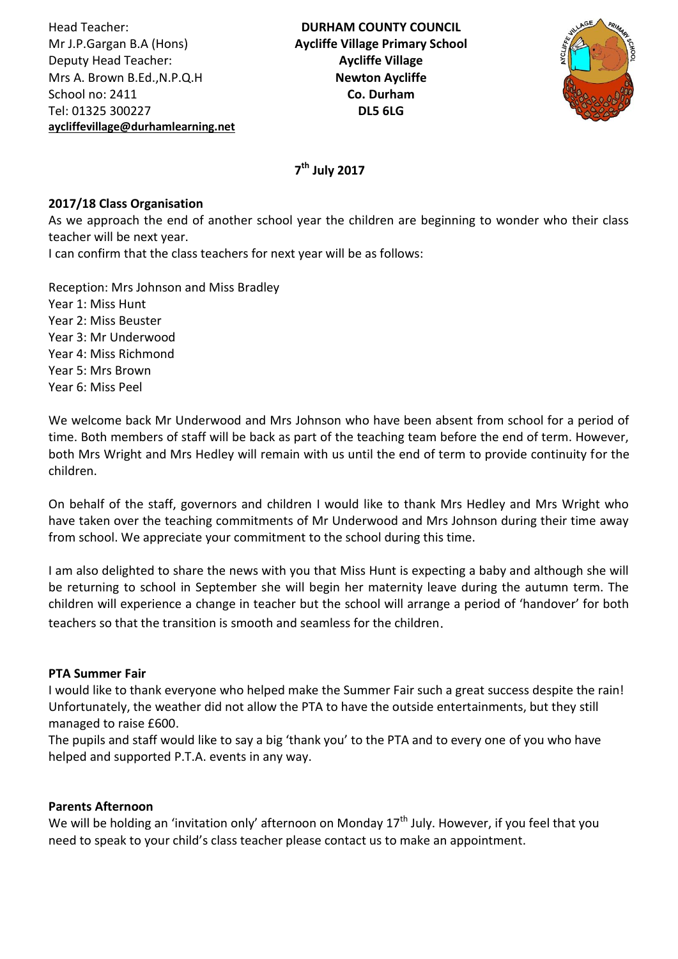Head Teacher: Mr J.P.Gargan B.A (Hons) Deputy Head Teacher: Mrs A. Brown B.Ed.,N.P.Q.H School no: 2411 Tel: 01325 300227 **[aycliffevillage@durhamlearning.net](mailto:aycliffevillage@durhamlearning.net)**



# **7 th July 2017**

## **2017/18 Class Organisation**

As we approach the end of another school year the children are beginning to wonder who their class teacher will be next year. I can confirm that the class teachers for next year will be as follows:

Reception: Mrs Johnson and Miss Bradley Year 1: Miss Hunt Year 2: Miss Beuster Year 3: Mr Underwood Year 4: Miss Richmond Year 5: Mrs Brown Year 6: Miss Peel

We welcome back Mr Underwood and Mrs Johnson who have been absent from school for a period of time. Both members of staff will be back as part of the teaching team before the end of term. However, both Mrs Wright and Mrs Hedley will remain with us until the end of term to provide continuity for the children.

On behalf of the staff, governors and children I would like to thank Mrs Hedley and Mrs Wright who have taken over the teaching commitments of Mr Underwood and Mrs Johnson during their time away from school. We appreciate your commitment to the school during this time.

I am also delighted to share the news with you that Miss Hunt is expecting a baby and although she will be returning to school in September she will begin her maternity leave during the autumn term. The children will experience a change in teacher but the school will arrange a period of 'handover' for both teachers so that the transition is smooth and seamless for the children.

## **PTA Summer Fair**

I would like to thank everyone who helped make the Summer Fair such a great success despite the rain! Unfortunately, the weather did not allow the PTA to have the outside entertainments, but they still managed to raise £600.

The pupils and staff would like to say a big 'thank you' to the PTA and to every one of you who have helped and supported P.T.A. events in any way.

## **Parents Afternoon**

We will be holding an 'invitation only' afternoon on Monday 17<sup>th</sup> July. However, if you feel that you need to speak to your child's class teacher please contact us to make an appointment.